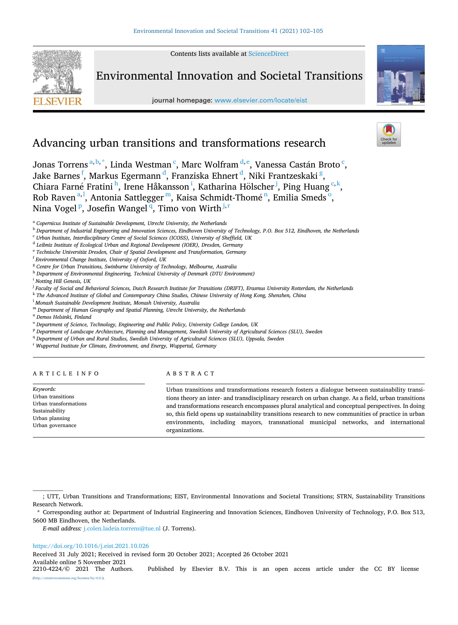Contents lists available at [ScienceDirect](www.sciencedirect.com/science/journal/22104224)



# Environmental Innovation and Societal Transitions

journal homepage: [www.elsevier.com/locate/eist](https://www.elsevier.com/locate/eist)



# Advancing urban transitions and transformations research

Jonas Torrens<sup>a, b,\*</sup>, Linda Westman<sup>c</sup>, Marc Wolfram<sup>d, e</sup>, Vanessa Castán Broto<sup>c</sup>, Jake Barnes <sup>f</sup>, Markus Egermann <sup>d</sup>, Franziska Ehnert <sup>d</sup>, Niki Frantzeskaki <sup>g</sup>, Chiara Farné Fratini<sup>h</sup>, Irene Håkansson<sup>i</sup>, Katharina Hölscher<sup>j</sup>, Ping Huang<sup>c,k</sup>, Rob Raven<sup>a, 1</sup>, Antonia Sattlegger<sup>m</sup>, Kaisa Schmidt-Thomé<sup>n</sup>, Emilia Smeds<sup>o</sup>, Nina Vogel <sup>p</sup>, Josefin Wangel <sup>q</sup>, Timo von Wirth *j,r* 

<sup>f</sup> *Environmental Change Institute, University of Oxford, UK* 

- <sup>k</sup> *The Advanced Institute of Global and Contemporary China Studies, Chinese University of Hong Kong, Shenzhen, China*
- <sup>l</sup> *Monash Sustainable Development Institute, Monash University, Australia*
- <sup>m</sup> *Department of Human Geography and Spatial Planning, Utrecht University, the Netherlands*

<sup>n</sup> *Demos Helsinki, Finland* 

- <sup>o</sup> *Department of Science, Technology, Engineering and Public Policy, University College London, UK*
- <sup>p</sup> *Department of Landscape Architecture, Planning and Management, Swedish University of Agricultural Sciences (SLU), Sweden*
- <sup>q</sup> Department of Urban and Rural Studies, Swedish University of Agricultural Sciences (SLU), Uppsala, Sweden

<sup>r</sup> *Wuppertal Institute for Climate, Environment, and Energy, Wuppertal, Germany* 

# ARTICLE INFO

*Keywords:*  Urban transitions

Sustainability Urban planning Urban governance

# ABSTRACT

Urban transformations Urban transitions and transformations research fosters a dialogue between sustainability transitions theory an inter- and transdisciplinary research on urban change. As a field, urban transitions and transformations research encompasses plural analytical and conceptual perspectives. In doing so, this field opens up sustainability transitions research to new communities of practice in urban environments, including mayors, transnational municipal networks, and international organizations.

### <https://doi.org/10.1016/j.eist.2021.10.026>

Received 31 July 2021; Received in revised form 20 October 2021; Accepted 26 October 2021

Available online 5 November 2021<br>2210-4224/© 2021 The Authors.

<sup>a</sup> *Copernicus Institute of Sustainable Development, Utrecht University, the Netherlands* 

<sup>b</sup> *Department of Industrial Engineering and Innovation Sciences, Eindhoven University of Technology, P.O. Box 512, Eindhoven, the Netherlands* 

<sup>c</sup> *Urban Institute, Interdisciplinary Centre of Social Sciences (ICOSS), University of Sheffield, UK* 

<sup>d</sup> *Leibniz Institute of Ecological Urban and Regional Development (IOER), Dresden, Germany* 

<sup>&</sup>lt;sup>e</sup> Technische Universität Dresden, Chair of Spatial Development and Transformation, Germany

<sup>g</sup> *Centre for Urban Transitions, Swinburne University of Technology, Melbourne, Australia* 

<sup>h</sup> *Department of Environmental Engineering, Technical University of Denmark (DTU Environment)* 

<sup>i</sup> *Notting Hill Genesis, UK* 

<sup>j</sup> *Faculty of Social and Behavioral Sciences, Dutch Research Institute for Transitions (DRIFT), Erasmus University Rotterdam, the Netherlands* 

<sup>;</sup> UTT, Urban Transitions and Transformations; EIST, Environmental Innovations and Societal Transitions; STRN, Sustainability Transitions Research Network.

<sup>\*</sup> Corresponding author at: Department of Industrial Engineering and Innovation Sciences, Eindhoven University of Technology, P.O. Box 513, 5600 MB Eindhoven, the Netherlands.

*E-mail address:* [j.colen.ladeia.torrens@tue.nl](mailto:j.colen.ladeia.torrens@tue.nl) (J. Torrens).

Published by Elsevier B.V. This is an open access article under the CC BY license [\(http://creativecommons.org/licenses/by/4.0/\)](http://creativecommons.org/licenses/by/4.0/).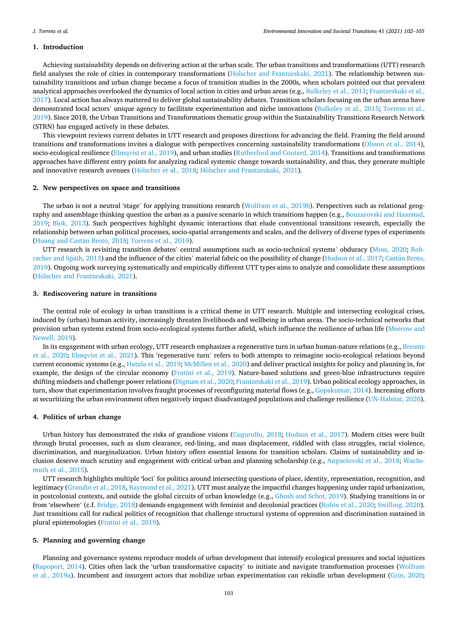## **1. Introduction**

Achieving sustainability depends on delivering action at the urban scale. The urban transitions and transformations (UTT) research field analyses the role of cities in contemporary transformations (Hölscher [and Frantzeskaki, 2021\)](#page-3-0). The relationship between sustainability transitions and urban change became a focus of transition studies in the 2000s, when scholars pointed out that prevalent analytical approaches overlooked the dynamics of local action in cities and urban areas (e.g., [Bulkeley et al., 2011](#page-2-0); [Frantzeskaki et al.,](#page-2-0) [2017\)](#page-2-0). Local action has always mattered to deliver global sustainability debates. Transition scholars focusing on the urban arena have demonstrated local actors' unique agency to facilitate experimentation and niche innovations [\(Bulkeley et al., 2015;](#page-2-0) [Torrens et al.,](#page-3-0) [2019\)](#page-3-0). Since 2018, the Urban Transitions and Transformations thematic group within the Sustainability Transitions Research Network (STRN) has engaged actively in these debates.

This viewpoint reviews current debates in UTT research and proposes directions for advancing the field. Framing the field around transitions *and* transformations invites a dialogue with perspectives concerning sustainability transformations ([Olsson et al., 2014](#page-3-0)), socio-ecological resilience [\(Elmqvist et al., 2019\)](#page-2-0), and urban studies ([Rutherford and Coutard, 2014](#page-3-0)). Transitions and transformations approaches have different entry points for analyzing radical systemic change towards sustainability, and thus, they generate multiple and innovative research avenues (Hölscher [et al., 2018;](#page-3-0) Hölscher [and Frantzeskaki, 2021](#page-3-0)).

### **2. New perspectives on space and transitions**

The urban is not a neutral 'stage' for applying transitions research ([Wolfram et al., 2019b\)](#page-3-0). Perspectives such as relational geography and assemblage thinking question the urban as a passive scenario in which transitions happen (e.g., [Bouzarovski and Haarstad,](#page-2-0) [2019;](#page-2-0) [Blok, 2013\)](#page-2-0). Such perspectives highlight dynamic interactions that elude conventional transitions research, especially the relationship between urban political processes, socio-spatial arrangements and scales, and the delivery of diverse types of experiments (Huang and Castán Broto, 2018; [Torrens et al., 2019](#page-3-0)).

UTT research is revisiting transition debates' central assumptions such as socio-technical systems' obduracy ([Moss, 2020;](#page-3-0) [Roh-](#page-3-0)racher and Späth, 2013) and the influence of the cities' material fabric on the possibility of change [\(Hodson et al., 2017](#page-3-0); Castán Broto, [2019\)](#page-2-0). Ongoing work surveying systematically and empirically different UTT types aims to analyze and consolidate these assumptions (Hölscher [and Frantzeskaki, 2021\)](#page-3-0).

# **3. Rediscovering nature in transitions**

The central role of ecology in urban transitions is a critical theme in UTT research. Multiple and intersecting ecological crises, induced by (urban) human activity, increasingly threaten livelihoods and wellbeing in urban areas. The socio-technical networks that provision urban systems extend from socio-ecological systems further afield, which influence the resilience of urban life ([Meerow and](#page-3-0) [Newell, 2019](#page-3-0)).

In its engagement with urban ecology, UTT research emphasizes a regenerative turn in urban human-nature relations (e.g., [Breuste](#page-2-0) [et al., 2020](#page-2-0); [Elmqvist et al., 2021\)](#page-2-0). This 'regenerative turn' refers to both attempts to reimagine socio-ecological relations beyond current economic systems (e.g., [Hatala et al., 2019; McMillen et al., 2020](#page-3-0)) and deliver practical insights for policy and planning in, for example, the design of the circular economy ([Fratini et al., 2019](#page-2-0)). Nature-based solutions and green-blue infrastructures require shifting mindsets and challenge power relations ([Dignum et al., 2020; Frantzeskaki et al., 2019](#page-2-0)). Urban political ecology approaches, in turn, show that experimentation involves fraught processes of reconfiguring material flows (e.g., [Gopakumar, 2014\)](#page-2-0). Increasing efforts at securitizing the urban environment often negatively impact disadvantaged populations and challenge resilience ([UN-Habitat, 2020](#page-3-0)).

#### **4. Politics of urban change**

Urban history has demonstrated the risks of grandiose visions [\(Cugurullo, 2018;](#page-2-0) [Hodson et al., 2017](#page-3-0)). Modern cities were built through brutal processes, such as slum clearance, red-lining, and mass displacement, riddled with class struggles, racial violence, discrimination, and marginalization. Urban history offers essential lessons for transition scholars. Claims of sustainability and inclusion deserve much scrutiny and engagement with critical urban and planning scholarship (e.g., [Anguelovski et al., 2018](#page-2-0); [Wachs](#page-3-0)[muth et al., 2015](#page-3-0)).

UTT research highlights multiple 'loci' for politics around intersecting questions of place, identity, representation, recognition, and legitimacy [\(Grandin et al., 2018,](#page-2-0) [Raymond et al., 2021\)](#page-3-0). UTT must analyze the impactful changes happening under rapid urbanization, in postcolonial contexts, and outside the global circuits of urban knowledge (e.g., [Ghosh and Schot, 2019\)](#page-2-0). Studying transitions in or from 'elsewhere' (c.f. [Bridge, 2018\)](#page-2-0) demands engagement with feminist and decolonial practices [\(Robin et al., 2020; Swilling, 2020](#page-3-0)). Just transitions call for radical politics of recognition that challenge structural systems of oppression and discrimination sustained in plural epistemologies ([Fratini et al., 2019\)](#page-2-0).

#### **5. Planning and governing change**

Planning and governance systems reproduce models of urban development that intensify ecological pressures and social injustices [\(Rapoport, 2014\)](#page-3-0). Cities often lack the 'urban transformative capacity' to initiate and navigate transformation processes ([Wolfram](#page-3-0) [et al., 2019a](#page-3-0)). Incumbent and insurgent actors that mobilize urban experimentation can rekindle urban development [\(Grin, 2020](#page-2-0);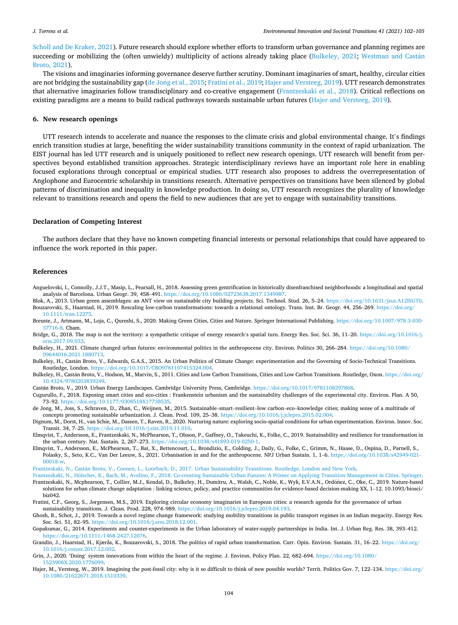<span id="page-2-0"></span>[Scholl and De Kraker, 2021](#page-3-0)). Future research should explore whether efforts to transform urban governance and planning regimes are succeeding or mobilizing the (often unwieldy) multiplicity of actions already taking place (Bulkeley, 2021; Westman and Castán [Broto, 2021\)](#page-3-0).

The visions and imaginaries informing governance deserve further scrutiny. Dominant imaginaries of smart, healthy, circular cities are not bridging the sustainability gap (de Jong et al., 2015; Fratini et al., 2019; Hajer and Versteeg, 2019). UTT research demonstrates that alternative imaginaries follow transdisciplinary and co-creative engagement (Frantzeskaki et al., 2018). Critical reflections on existing paradigms are a means to build radical pathways towards sustainable urban futures (Hajer and Versteeg, 2019).

### **6. New research openings**

UTT research intends to accelerate and nuance the responses to the climate crisis and global environmental change. It's findings enrich transition studies at large, benefiting the wider sustainability transitions community in the context of rapid urbanization. The EIST journal has led UTT research and is uniquely positioned to reflect new research openings. UTT research will benefit from perspectives beyond established transition approaches. Strategic interdisciplinary reviews have an important role here in enabling focused explorations through conceptual or empirical studies. UTT research also proposes to address the overrepresentation of Anglophone and Eurocentric scholarship in transitions research. Alternative perspectives on transitions have been silenced by global patterns of discrimination and inequality in knowledge production. In doing so, UTT research recognizes the plurality of knowledge relevant to transitions research and opens the field to new audiences that are yet to engage with sustainability transitions.

## **Declaration of Competing Interest**

The authors declare that they have no known competing financial interests or personal relationships that could have appeared to influence the work reported in this paper.

#### **References**

- Anguelovski, I., Connolly, J.J.T., Masip, L., Pearsall, H., 2018. Assessing green gentrification in historically disenfranchised neighborhoods: a longitudinal and spatial analysis of Barcelona. Urban Geogr. 39, 458–491. [https://doi.org/10.1080/02723638.2017.1349987.](https://doi.org/10.1080/02723638.2017.1349987)
- Blok, A., 2013. Urban green assemblages: an ANT view on sustainable city building projects. Sci. Technol. Stud. 26, 5–24.<https://doi.org/10.1631/jzus.A12ISGT0>. Bouzarovski, S., Haarstad, H., 2019. Rescaling low-carbon transformations: towards a relational ontology. Trans. Inst. Br. Geogr. 44, 256–269. [https://doi.org/](https://doi.org/10.1111/tran.12275) [10.1111/tran.12275.](https://doi.org/10.1111/tran.12275)
- Breuste, J., Artmann, M., Loja, C., Qureshi, S., 2020. Making Green Cities, Cities and Nature. Springer International Publishing. [https://doi.org/10.1007/978-3-030-](https://doi.org/10.1007/978-3-030-37716-8) [37716-8.](https://doi.org/10.1007/978-3-030-37716-8) Cham.
- Bridge, G., 2018. The map is not the territory: a sympathetic critique of energy research's spatial turn. Energy Res. Soc. Sci. 36, 11-20. [https://doi.org/10.1016/j.](https://doi.org/10.1016/j.erss.2017.09.033) [erss.2017.09.033](https://doi.org/10.1016/j.erss.2017.09.033).
- Bulkeley, H., 2021. Climate changed urban futures: environmental politics in the anthropocene city. Environ. Politics 30, 266–284. [https://doi.org/10.1080/](https://doi.org/10.1080/09644016.2021.1880713)  [09644016.2021.1880713.](https://doi.org/10.1080/09644016.2021.1880713)
- Bulkeley, H., Castán Broto, V., Edwards, G.A.S., 2015. An Urban Politics of Climate Change: experimentation and the Governing of Socio-Technical Transitions. Routledge, London. [https://doi.org/10.1017/CBO9781107415324.004.](https://doi.org/10.1017/CBO9781107415324.004)
- Bulkeley, H., Castán Broto, V., Hodson, M., Marvin, S., 2011. Cities and Low Carbon Transitions, Cities and Low Carbon Transitions. Routledge, Oxon. [https://doi.org/](https://doi.org/10.4324/9780203839249) [10.4324/9780203839249](https://doi.org/10.4324/9780203839249).

Castán Broto, V., 2019. Urban Energy Landscapes. Cambridge University Press, Cambridge. [https://doi.org/10.1017/9781108297868.](https://doi.org/10.1017/9781108297868)

- Cugurullo, F., 2018. Exposing smart cities and eco-cities : Frankenstein urbanism and the sustainability challenges of the experimental city. Environ. Plan. A 50, 73–92.<https://doi.org/10.1177/0308518X17738535>.
- de Jong, M., Joss, S., Schraven, D., Zhan, C., Weijnen, M., 2015. Sustainable–smart–resilient–low carbon–eco–knowledge cities; making sense of a multitude of concepts promoting sustainable urbanization. J. Clean. Prod. 109, 25–38. [https://doi.org/10.1016/j.jclepro.2015.02.004.](https://doi.org/10.1016/j.jclepro.2015.02.004)
- Dignum, M., Dorst, H., van Schie, M., Dassen, T., Raven, R., 2020. Nurturing nature: exploring socio-spatial conditions for urban experimentation. Environ. Innov. Soc. Transit. 34, 7–25. <https://doi.org/10.1016/j.eist.2019.11.010>.
- Elmqvist, T., Andersson, E., Frantzeskaki, N., McPhearson, T., Olsson, P., Gaffney, O., Takeuchi, K., Folke, C., 2019. Sustainability and resilience for transformation in the urban century. Nat. Sustain. 2, 267–273. [https://doi.org/10.1038/s41893-019-0250-1.](https://doi.org/10.1038/s41893-019-0250-1)
- Elmqvist, T., Andersson, E., McPhearson, T., Bai, X., Bettencourt, L., Brondizio, E., Colding, J., Daily, G., Folke, C., Grimm, N., Haase, D., Ospina, D., Parnell, S., Polasky, S., Seto, K.C., Van Der Leeuw, S., 2021. Urbanisation in and for the anthropocene. NPJ Urban Sustain. 1, 1–6. [https://doi.org/10.1038/s42949-021-](https://doi.org/10.1038/s42949-021-00018-w)  [00018-w.](https://doi.org/10.1038/s42949-021-00018-w)

Frantzeskaki, N., Castán [Broto, V., Coenen, L., Loorbach, D., 2017. Urban Sustainability Transitions. Routledge, London and New York](http://refhub.elsevier.com/S2210-4224(21)00100-3/sbref0015).

- Frantzeskaki, N., Hölscher, [K., Bach, M., Avelino, F., 2018. Co-creating Sustainable Urban Futures: A Primer on Applying Transition Management in Cities. Springer.](http://refhub.elsevier.com/S2210-4224(21)00100-3/sbref0016) Frantzeskaki, N., Mcphearson, T., Collier, M.J., Kendal, D., Bulkeley, H., Dumitru, A., Walsh, C., Noble, K., Wyk, E.V.A.N., Ordóñez, C., Oke, C., 2019. Nature-based solutions for urban climate change adaptation : linking science, policy, and practice communities for evidence-based decision-making XX, 1–12. 10.1093/biosci/ biz042.
- Fratini, C.F., Georg, S., Jørgensen, M.S., 2019. Exploring circular economy imaginaries in European cities: a research agenda for the governance of urban sustainability transitions. J. Clean. Prod. 228, 974–989. <https://doi.org/10.1016/j.jclepro.2019.04.193>.
- Ghosh, B., Schot, J., 2019. Towards a novel regime change framework: studying mobility transitions in public transport regimes in an Indian megacity. Energy Res. Soc. Sci. 51, 82–95.<https://doi.org/10.1016/j.erss.2018.12.001>.
- Gopakumar, G., 2014. Experiments and counter-experiments in the Urban laboratory of water-supply partnerships in India. Int. J. Urban Reg. Res. 38, 393–412. <https://doi.org/10.1111/1468-2427.12076>.
- Grandin, J., Haarstad, H., Kjærås, K., Bouzarovski, S., 2018. The politics of rapid urban transformation. Curr. Opin. Environ. Sustain. 31, 16-22. [https://doi.org/](https://doi.org/10.1016/j.cosust.2017.12.002) [10.1016/j.cosust.2017.12.002](https://doi.org/10.1016/j.cosust.2017.12.002).
- Grin, J., 2020. 'Doing' system innovations from within the heart of the regime. J. Environ. Policy Plan. 22, 682-694. https://doi.org/10.1080/ [1523908X.2020.1776099](https://doi.org/10.1080/1523908X.2020.1776099).
- Hajer, M., Versteeg, W., 2019. Imagining the post-fossil city: why is it so difficult to think of new possible worlds? Territ. Politics Gov. 7, 122-134. [https://doi.org/](https://doi.org/10.1080/21622671.2018.1510339) [10.1080/21622671.2018.1510339](https://doi.org/10.1080/21622671.2018.1510339).